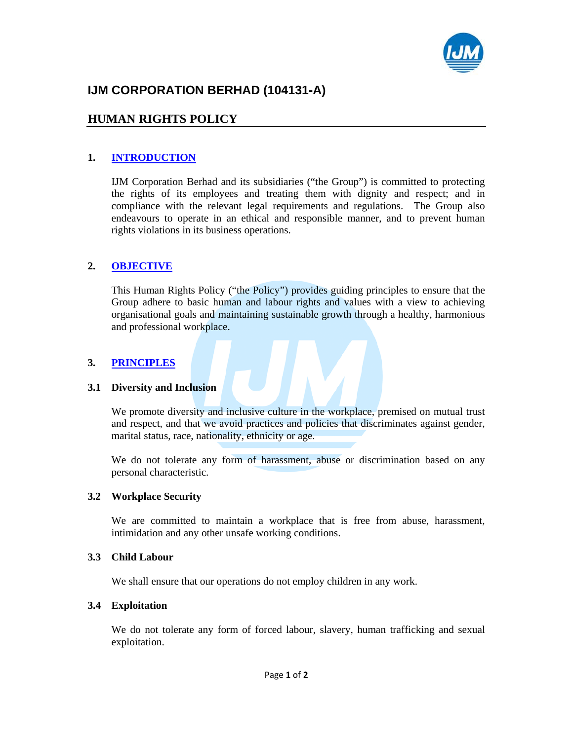

# **IJM CORPORATION BERHAD (104131-A)**

# **HUMAN RIGHTS POLICY**

# **1. INTRODUCTION**

IJM Corporation Berhad and its subsidiaries ("the Group") is committed to protecting the rights of its employees and treating them with dignity and respect; and in compliance with the relevant legal requirements and regulations. The Group also endeavours to operate in an ethical and responsible manner, and to prevent human rights violations in its business operations.

# **2. OBJECTIVE**

This Human Rights Policy ("the Policy") provides guiding principles to ensure that the Group adhere to basic human and labour rights and values with a view to achieving organisational goals and maintaining sustainable growth through a healthy, harmonious and professional workplace.

# **3. PRINCIPLES**

### **3.1 Diversity and Inclusion**

We promote diversity and inclusive culture in the workplace, premised on mutual trust and respect, and that we avoid practices and policies that discriminates against gender, marital status, race, nationality, ethnicity or age.

We do not tolerate any form of harassment, abuse or discrimination based on any personal characteristic.

#### **3.2 Workplace Security**

We are committed to maintain a workplace that is free from abuse, harassment, intimidation and any other unsafe working conditions.

## **3.3 Child Labour**

We shall ensure that our operations do not employ children in any work.

#### **3.4 Exploitation**

We do not tolerate any form of forced labour, slavery, human trafficking and sexual exploitation.